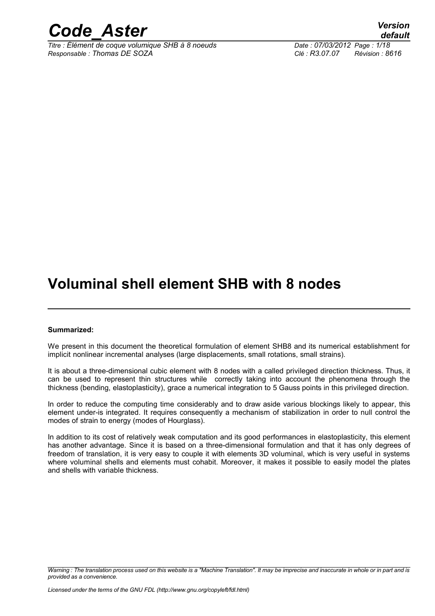

*Titre : Élément de coque volumique SHB à 8 noeuds Date : 07/03/2012 Page : 1/18 Responsable : Thomas DE SOZA Clé : R3.07.07 Révision : 8616*

*default*

# **Voluminal shell element SHB with 8 nodes**

#### **Summarized:**

We present in this document the theoretical formulation of element SHB8 and its numerical establishment for implicit nonlinear incremental analyses (large displacements, small rotations, small strains).

It is about a three-dimensional cubic element with 8 nodes with a called privileged direction thickness. Thus, it can be used to represent thin structures while correctly taking into account the phenomena through the thickness (bending, elastoplasticity), grace a numerical integration to 5 Gauss points in this privileged direction.

In order to reduce the computing time considerably and to draw aside various blockings likely to appear, this element under-is integrated. It requires consequently a mechanism of stabilization in order to null control the modes of strain to energy (modes of Hourglass).

In addition to its cost of relatively weak computation and its good performances in elastoplasticity, this element has another advantage. Since it is based on a three-dimensional formulation and that it has only degrees of freedom of translation, it is very easy to couple it with elements 3D voluminal, which is very useful in systems where voluminal shells and elements must cohabit. Moreover, it makes it possible to easily model the plates and shells with variable thickness.

*Warning : The translation process used on this website is a "Machine Translation". It may be imprecise and inaccurate in whole or in part and is provided as a convenience.*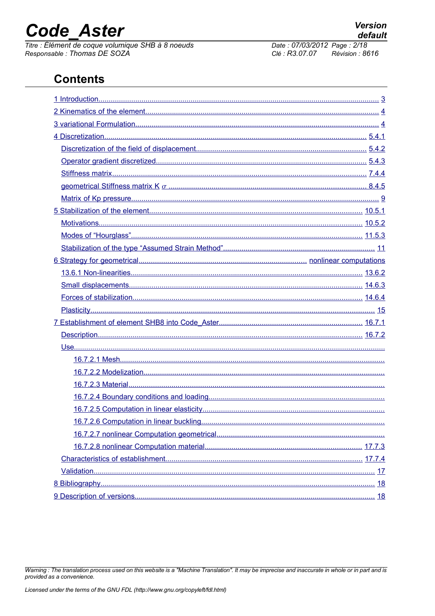# **Code Aster**

Titre : Élément de coque volumique SHB à 8 noeuds<br>Responsable : Thomas DE SOZA

#### Date: 07/03/2012 Page: 2/18 Clé : R3.07.07  $Révision : 8616$

# **Contents**

Warning : The translation process used on this website is a "Machine Translation". It may be imprecise and inaccurate in whole or in part and is provided as a convenience.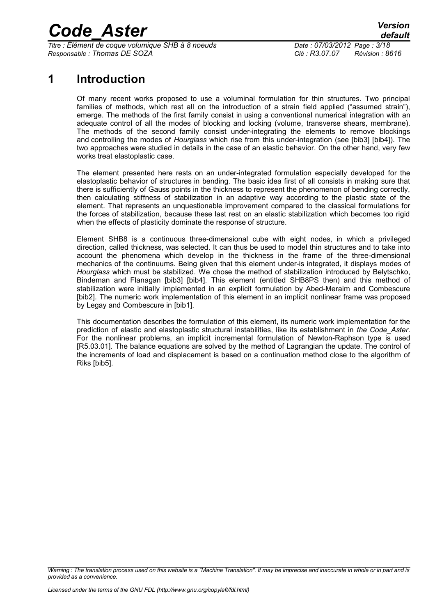*Titre : Élément de coque volumique SHB à 8 noeuds Date : 07/03/2012 Page : 3/18 Responsable : Thomas DE SOZA Clé : R3.07.07 Révision : 8616*

### **1 Introduction**

<span id="page-2-0"></span>Of many recent works proposed to use a voluminal formulation for thin structures. Two principal families of methods, which rest all on the introduction of a strain field applied ("assumed strain"), emerge. The methods of the first family consist in using a conventional numerical integration with an adequate control of all the modes of blocking and locking (volume, transverse shears, membrane). The methods of the second family consist under-integrating the elements to remove blockings and controlling the modes of *Hourglass* which rise from this under-integration (see [bib3] [bib4]). The two approaches were studied in details in the case of an elastic behavior. On the other hand, very few works treat elastoplastic case.

The element presented here rests on an under-integrated formulation especially developed for the elastoplastic behavior of structures in bending. The basic idea first of all consists in making sure that there is sufficiently of Gauss points in the thickness to represent the phenomenon of bending correctly, then calculating stiffness of stabilization in an adaptive way according to the plastic state of the element. That represents an unquestionable improvement compared to the classical formulations for the forces of stabilization, because these last rest on an elastic stabilization which becomes too rigid when the effects of plasticity dominate the response of structure.

Element SHB8 is a continuous three-dimensional cube with eight nodes, in which a privileged direction, called thickness, was selected. It can thus be used to model thin structures and to take into account the phenomena which develop in the thickness in the frame of the three-dimensional mechanics of the continuums. Being given that this element under-is integrated, it displays modes of *Hourglass* which must be stabilized. We chose the method of stabilization introduced by Belytschko, Bindeman and Flanagan [bib3] [bib4]. This element (entitled SHB8PS then) and this method of stabilization were initially implemented in an explicit formulation by Abed-Meraim and Combescure [bib2]. The numeric work implementation of this element in an implicit nonlinear frame was proposed by Legay and Combescure in [bib1].

This documentation describes the formulation of this element, its numeric work implementation for the prediction of elastic and elastoplastic structural instabilities, like its establishment in *the Code\_Aster*. For the nonlinear problems, an implicit incremental formulation of Newton-Raphson type is used [R5.03.01]. The balance equations are solved by the method of Lagrangian the update. The control of the increments of load and displacement is based on a continuation method close to the algorithm of Riks [bib5].

*Warning : The translation process used on this website is a "Machine Translation". It may be imprecise and inaccurate in whole or in part and is provided as a convenience.*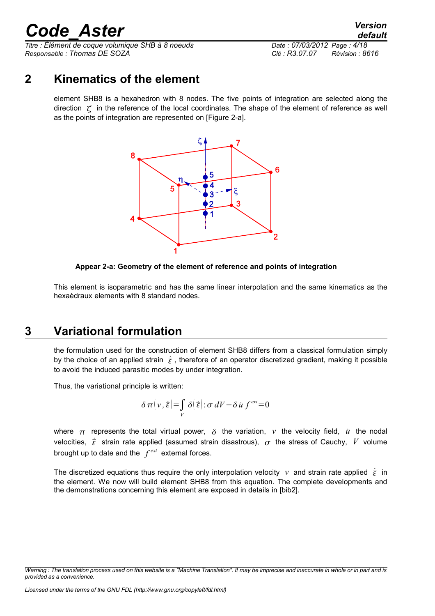*Titre : Élément de coque volumique SHB à 8 noeuds Date : 07/03/2012 Page : 4/18 Responsable : Thomas DE SOZA Clé : R3.07.07 Révision : 8616*

### **2 Kinematics of the element**

<span id="page-3-1"></span>element SHB8 is a hexahedron with 8 nodes. The five points of integration are selected along the direction  $\zeta$  in the reference of the local coordinates. The shape of the element of reference as well as the points of integration are represented on [Figure 2-a].



#### **Appear 2-a: Geometry of the element of reference and points of integration**

This element is isoparametric and has the same linear interpolation and the same kinematics as the hexaèdraux elements with 8 standard nodes.

## **3 Variational formulation**

<span id="page-3-0"></span>the formulation used for the construction of element SHB8 differs from a classical formulation simply by the choice of an applied strain  $\dot{\bar{\epsilon}}$ , therefore of an operator discretized gradient, making it possible to avoid the induced parasitic modes by under integration.

Thus, the variational principle is written:

$$
\delta \pi \big( v, \dot{\bar{\boldsymbol{\varepsilon}}} \big) = \int_{V} \delta \big( \dot{\bar{\boldsymbol{\varepsilon}}} \big) : \sigma \, dV - \delta \, \dot{u} \, f^{\text{ext}} = 0
$$

where  $\pi$  represents the total virtual power,  $\delta$  the variation,  $\nu$  the velocity field,  $\dot{u}$  the nodal velocities,  $\dot{\bar{\epsilon}}$  strain rate applied (assumed strain disastrous),  $\sigma$  the stress of Cauchy, V volume brought up to date and the *f ext* external forces.

The discretized equations thus require the only interpolation velocity *v* and strain rate applied  $\dot{\bar{\epsilon}}$  in the element. We now will build element SHB8 from this equation. The complete developments and the demonstrations concerning this element are exposed in details in [bib2].

*Warning : The translation process used on this website is a "Machine Translation". It may be imprecise and inaccurate in whole or in part and is provided as a convenience.*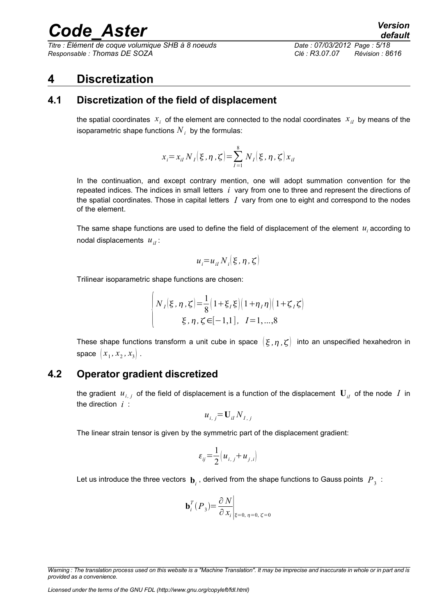*Titre : Élément de coque volumique SHB à 8 noeuds Date : 07/03/2012 Page : 5/18 Responsable : Thomas DE SOZA Clé : R3.07.07 Révision : 8616*

### <span id="page-4-2"></span>**4 Discretization**

### **4.1 Discretization of the field of displacement**

<span id="page-4-1"></span>the spatial coordinates  $x_i$  of the element are connected to the nodal coordinates  $x_{iI}$  by means of the isoparametric shape functions  $\overline{N}_i^{\phantom{\dag}}$  by the formulas:

$$
x_i = x_{iI} N_I(\xi, \eta, \zeta) = \sum_{I=1}^{8} N_I(\xi, \eta, \zeta) x_{iI}
$$

In the continuation, and except contrary mention, one will adopt summation convention for the repeated indices. The indices in small letters *i* vary from one to three and represent the directions of the spatial coordinates. Those in capital letters *I* vary from one to eight and correspond to the nodes of the element.

The same shape functions are used to define the field of displacement of the element  $u_i$  according to nodal displacements  $u_{ii}$ :

$$
u_i = u_{iI} N_i \, (\xi, \eta, \zeta)
$$

Trilinear isoparametric shape functions are chosen:

$$
\begin{cases} N_I(\xi, \eta, \zeta) = \frac{1}{8} \left( 1 + \xi_I \xi \right) \left( 1 + \eta_I \eta \right) \left( 1 + \zeta_I \zeta \right) \\ \xi, \eta, \zeta \in [-1, 1], \quad I = 1, ..., 8 \end{cases}
$$

These shape functions transform a unit cube in space  $(\xi, \eta, \zeta)$  into an unspecified hexahedron in  $space \, \left[ \, x_{\,1} \, , \, x_{\,2} \, , \, x_{3} \right] \, .$ 

### **4.2 Operator gradient discretized**

<span id="page-4-0"></span>the gradient  $u_{i, j}$  of the field of displacement is a function of the displacement  $\mathbf{U}_{iI}$  of the node  $|I|$  in the direction *i* :

$$
u_{i,j} = U_{iI} N_{I,j}
$$

The linear strain tensor is given by the symmetric part of the displacement gradient:

$$
\varepsilon_{ij} = \frac{1}{2} \left( u_{i,j} + u_{j,i} \right)
$$

Let us introduce the three vectors  $\mathbf{b}_i$  , derived from the shape functions to Gauss points  $\overline{P}_3$ :

$$
\mathbf{b}_i^T(P_3) = \frac{\partial N}{\partial x_i}\bigg|_{\xi=0, \eta=0, \zeta=0}
$$

*Warning : The translation process used on this website is a "Machine Translation". It may be imprecise and inaccurate in whole or in part and is provided as a convenience.*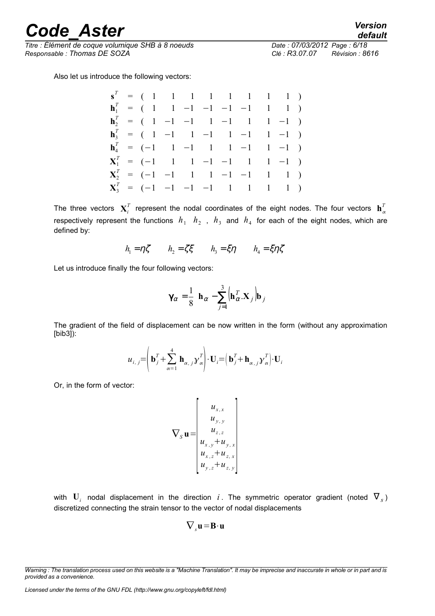*Titre : Élément de coque volumique SHB à 8 noeuds Date : 07/03/2012 Page : 6/18 Responsable : Thomas DE SOZA Clé : R3.07.07 Révision : 8616*

Also let us introduce the following vectors:

|  | $\mathbf{s}^T = (1 \ 1 \ 1 \ 1 \ 1 \ 1 \ 1 \ 1 \ 1)$                               |  |  |  |  |
|--|------------------------------------------------------------------------------------|--|--|--|--|
|  | $\mathbf{h}_1^T = (1 \ 1 \ -1 \ -1 \ -1 \ -1 \ 1 \ 1)$                             |  |  |  |  |
|  | $\mathbf{h}_2^T = (1 \ -1 \ -1 \ -1 \ -1 \ -1 \ -1 \ -1)$                          |  |  |  |  |
|  | $\mathbf{h}_3^T = (1 \ -1 \ 1 \ -1 \ 1 \ -1 \ 1 \ -1)$                             |  |  |  |  |
|  | $\mathbf{h}_4^T = (-1 \quad 1 \quad -1 \quad 1 \quad 1 \quad -1 \quad 1 \quad -1)$ |  |  |  |  |
|  | $X_1^T = (-1 \quad 1 \quad 1 \quad -1 \quad -1 \quad 1 \quad 1 \quad -1)$          |  |  |  |  |
|  | $X_2^T = (-1 \ -1 \ -1 \ -1 \ -1 \ -1 \ -1 \ -1)$                                  |  |  |  |  |
|  | $X_3^T = (-1 \t -1 \t -1 \t -1 \t 1 \t 1 \t 1 \t 1)$                               |  |  |  |  |

The three vectors  $\mathbf{X}_i^T$  represent the nodal coordinates of the eight nodes. The four vectors  $\mathbf{h}_\alpha^T$ respectively represent the functions  $h_1$   $h_2$  ,  $h_3$  and  $h_4$  for each of the eight nodes, which are defined by:

$$
h_1 = \eta \zeta
$$
  $h_2 = \zeta \zeta$   $h_3 = \zeta \eta$   $h_4 = \zeta \eta \zeta$ 

Let us introduce finally the four following vectors:

$$
\gamma_{\alpha} = \frac{1}{8} \left[ \mathbf{h}_{\alpha} - \sum_{j=1}^{3} (\mathbf{h}_{\alpha}^{T} \mathbf{X}_{j}) \mathbf{b}_{j} \right]
$$

The gradient of the field of displacement can be now written in the form (without any approximation [bib3]):

$$
\boldsymbol{u}_{i,j} = \left(\mathbf{b}_{j}^{T} + \sum_{\alpha=1}^{4} \mathbf{h}_{\alpha, j} \boldsymbol{\gamma}_{\alpha}^{T}\right) \cdot \mathbf{U}_{i} = \left(\mathbf{b}_{j}^{T} + \mathbf{h}_{\alpha, j} \boldsymbol{\gamma}_{\alpha}^{T}\right) \cdot \mathbf{U}_{i}
$$

Or, in the form of vector:

$$
\nabla_{S} \mathbf{u} = \begin{bmatrix} u_{x,x} \\ u_{y,y} \\ u_{z,z} \\ u_{x,y} + u_{y,x} \\ u_{x,z} + u_{z,x} \\ u_{y,z} + u_{z,y} \end{bmatrix}
$$

with  $\mathbf{U}_i$  nodal displacement in the direction  $i$ . The symmetric operator gradient (noted  $\mathbf{\nabla}_{s}$ ) discretized connecting the strain tensor to the vector of nodal displacements

$$
\nabla_{s} \mathbf{u} = \mathbf{B} \cdot \mathbf{u}
$$

*Warning : The translation process used on this website is a "Machine Translation". It may be imprecise and inaccurate in whole or in part and is provided as a convenience.*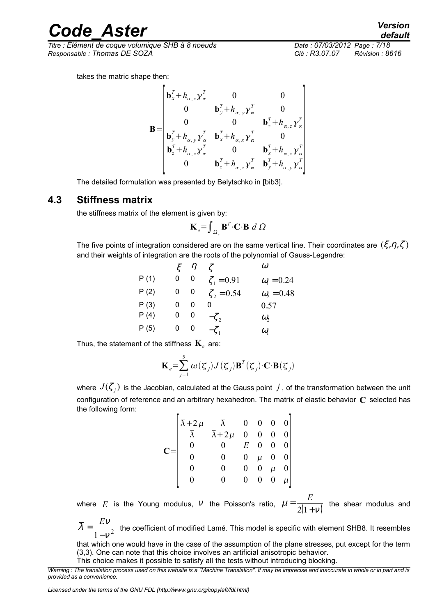*Titre : Élément de coque volumique SHB à 8 noeuds Date : 07/03/2012 Page : 7/18 Responsable : Thomas DE SOZA Clé : R3.07.07 Révision : 8616*

takes the matric shape then:

$$
\mathbf{B} = \begin{bmatrix} \mathbf{b}_x^T + h_{\alpha,x} \mathbf{y}_{\alpha}^T & 0 & 0 \\ 0 & \mathbf{b}_y^T + h_{\alpha,y} \mathbf{y}_{\alpha}^T & 0 \\ 0 & 0 & \mathbf{b}_z^T + h_{\alpha,z} \mathbf{y}_{\alpha}^T \\ \mathbf{b}_y^T + h_{\alpha,y} \mathbf{y}_{\alpha}^T & \mathbf{b}_x^T + h_{\alpha,x} \mathbf{y}_{\alpha}^T & 0 \\ \mathbf{b}_z^T + h_{\alpha,z} \mathbf{y}_{\alpha}^T & 0 & \mathbf{b}_x^T + h_{\alpha,x} \mathbf{y}_{\alpha}^T \\ 0 & \mathbf{b}_z^T + h_{\alpha,z} \mathbf{y}_{\alpha}^T & \mathbf{b}_y^T + h_{\alpha,y} \mathbf{y}_{\alpha}^T \end{bmatrix}
$$

The detailed formulation was presented by Belytschko in [bib3].

### **4.3 Stiffness matrix**

<span id="page-6-0"></span>the stiffness matrix of the element is given by:

$$
\mathbf{K}_{e} = \int_{\Omega_{e}} \mathbf{B}^{T} \cdot \mathbf{C} \cdot \mathbf{B} \ d \ \Omega
$$

The five points of integration considered are on the same vertical line. Their coordinates are  $(\xi, \eta, \zeta)$ and their weights of integration are the roots of the polynomial of Gauss-Legendre:

|      |   | $\eta$ |                  | $\omega$                |
|------|---|--------|------------------|-------------------------|
| P(1) | 0 | 0      | $\zeta_1 = 0.91$ | $\omega_{\rm l} = 0.24$ |
| P(2) | 0 | 0      | $\zeta_2 = 0.54$ | $\omega_2 = 0.48$       |
| P(3) | 0 | 0      | 0                | 0.57                    |
| P(4) | 0 | 0      | $-\zeta$ ,       | $\omega$ ,              |
| P(5) | 0 | U      | $-\zeta$         | $\omega_{1}$            |

Thus, the statement of the stiffness  $\mathbf{K}_{e}^{\vphantom{\dag}}$  are:

$$
\mathbf{K}_{e} = \sum_{j=1}^{5} \omega(\boldsymbol{\zeta}_{j}) J(\boldsymbol{\zeta}_{j}) \mathbf{B}^{T}(\boldsymbol{\zeta}_{j}) \cdot \mathbf{C} \cdot \mathbf{B}(\boldsymbol{\zeta}_{j})
$$

where  $\,J(\zeta_j)$  is the Jacobian, calculated at the Gauss point  $\,j$  , of the transformation between the unit configuration of reference and an arbitrary hexahedron. The matrix of elastic behavior **C** selected has the following form:

$$
\mathbf{C} = \begin{bmatrix} \overline{\lambda} + 2\mu & \overline{\lambda} & 0 & 0 & 0 & 0 \\ \overline{\lambda} & \overline{\lambda} + 2\mu & 0 & 0 & 0 & 0 \\ 0 & 0 & E & 0 & 0 & 0 \\ 0 & 0 & 0 & \mu & 0 & 0 \\ 0 & 0 & 0 & 0 & \mu & 0 \\ 0 & 0 & 0 & 0 & 0 & \mu \end{bmatrix}
$$

where *E* is the Young modulus, *V* the Poisson's ratio,  $\mu = \frac{1}{2(1+\nu)}$ =  $2(1)$ *E* the shear modulus and

 $1 - v^2$  $\overline{\lambda} = \frac{EV}{\sqrt{2}}$ −  $=\frac{E}{\sqrt{2}}$ the coefficient of modified Lamé. This model is specific with element SHB8. It resembles

that which one would have in the case of the assumption of the plane stresses, put except for the term (3,3). One can note that this choice involves an artificial anisotropic behavior.

This choice makes it possible to satisfy all the tests without introducing blocking.

*Warning : The translation process used on this website is a "Machine Translation". It may be imprecise and inaccurate in whole or in part and is provided as a convenience.*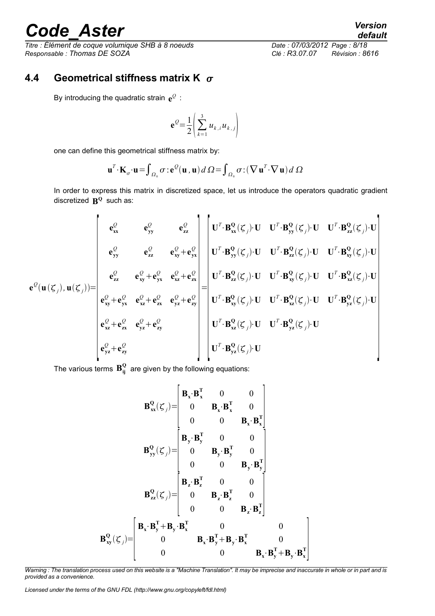*Titre : Élément de coque volumique SHB à 8 noeuds Date : 07/03/2012 Page : 8/18 Responsable : Thomas DE SOZA Clé : R3.07.07 Révision : 8616*

### **4.4 Geometrical stiffness matrix K**

<span id="page-7-0"></span>By introducing the quadratic strain  $e^{\mathcal{Q}}$  :

$$
\mathbf{e}^{\mathcal{Q}} = \frac{1}{2} \left( \sum_{k=1}^{3} u_{k,i} u_{k,j} \right)
$$

one can define this geometrical stiffness matrix by:

$$
\mathbf{u}^T \cdot \mathbf{K}_{\sigma} \cdot \mathbf{u} = \int_{\Omega_0} \sigma : \mathbf{e}^{\mathcal{Q}}(\mathbf{u}, \mathbf{u}) d\Omega = \int_{\Omega_0} \sigma : (\nabla \mathbf{u}^T \cdot \nabla \mathbf{u}) d\Omega
$$

In order to express this matrix in discretized space, let us introduce the operators quadratic gradient discretized  $\mathbf{R}^{\mathbf{Q}}$  such as:

$$
\mathbf{e}^{Q}(\mathbf{u}(\zeta_{j}),\mathbf{u}(\zeta_{j})) = \begin{bmatrix}\n\mathbf{e}_{\mathbf{x}}^{Q} & \mathbf{e}_{\mathbf{y}\mathbf{y}}^{Q} & \mathbf{e}_{\mathbf{z}\mathbf{z}}^{Q} \\
\mathbf{e}_{\mathbf{y}\mathbf{y}}^{Q} & \mathbf{e}_{\mathbf{z}\mathbf{z}}^{Q} & \mathbf{e}_{\mathbf{x}\mathbf{y}}^{Q} + \mathbf{e}_{\mathbf{y}\mathbf{x}}^{Q} \\
\mathbf{e}_{\mathbf{y}\mathbf{y}}^{Q} & \mathbf{e}_{\mathbf{z}\mathbf{z}}^{Q} + \mathbf{e}_{\mathbf{y}\mathbf{x}}^{Q} \\
\mathbf{e}_{\mathbf{z}\mathbf{z}}^{Q} & \mathbf{e}_{\mathbf{x}\mathbf{y}}^{Q} + \mathbf{e}_{\mathbf{y}\mathbf{x}}^{Q} \\
\mathbf{e}_{\mathbf{x}\mathbf{y}}^{Q} + \mathbf{e}_{\mathbf{y}\mathbf{x}}^{Q} & \mathbf{e}_{\mathbf{x}\mathbf{y}}^{Q} + \mathbf{e}_{\mathbf{z}\mathbf{x}}^{Q} \\
\mathbf{e}_{\mathbf{x}\mathbf{y}}^{Q} + \mathbf{e}_{\mathbf{y}\mathbf{x}}^{Q} & \mathbf{e}_{\mathbf{x}\mathbf{y}}^{Q} + \mathbf{e}_{\mathbf{y}\mathbf{x}}^{Q} \\
\mathbf{e}_{\mathbf{x}\mathbf{y}}^{Q} + \mathbf{e}_{\mathbf{y}\mathbf{x}}^{Q} & \mathbf{e}_{\mathbf{x}\mathbf{y}}^{Q} + \mathbf{e}_{\mathbf{z}\mathbf{x}}^{Q} \\
\mathbf{e}_{\mathbf{x}\mathbf{y}}^{Q} + \mathbf{e}_{\mathbf{y}\mathbf{x}}^{Q} & \mathbf{e}_{\mathbf{y}\mathbf{z}}^{Q} + \mathbf{e}_{\mathbf{z}\mathbf{x}}^{Q} \\
\mathbf{e}_{\mathbf{x}\mathbf{y}}^{Q} + \mathbf{e}_{\mathbf{y}\mathbf{x}}^{Q} & \mathbf{e}_{\mathbf{y}\mathbf{z}}^{Q} + \mathbf{e}_{\mathbf{z}\mathbf{y}}^{Q} \\
\mathbf{e}_{\mathbf{x}\mathbf{z}}^{Q} + \mathbf{e}_{\mathbf{z}\mathbf{x}}^{Q} & \mathbf{e}_{\mathbf{y}\mathbf
$$

The various terms  $\mathbf{B}_{ij}^{\mathbf{Q}}$  are given by the following equations:

$$
\mathbf{B}_{\mathbf{x}}^{\mathbf{Q}}(\zeta_j) = \begin{bmatrix} \mathbf{B}_{\mathbf{x}} \cdot \mathbf{B}_{\mathbf{x}}^{\mathbf{T}} & 0 & 0 \\ 0 & \mathbf{B}_{\mathbf{x}} \cdot \mathbf{B}_{\mathbf{x}}^{\mathbf{T}} & 0 \\ 0 & 0 & \mathbf{B}_{\mathbf{x}} \cdot \mathbf{B}_{\mathbf{x}}^{\mathbf{T}} \end{bmatrix}
$$

$$
\mathbf{B}_{\mathbf{y}}^{\mathbf{Q}}(\zeta_j) = \begin{bmatrix} \mathbf{B}_{\mathbf{y}} \cdot \mathbf{B}_{\mathbf{y}}^{\mathbf{T}} & 0 & 0 \\ 0 & \mathbf{B}_{\mathbf{y}} \cdot \mathbf{B}_{\mathbf{y}}^{\mathbf{T}} & 0 \\ 0 & 0 & \mathbf{B}_{\mathbf{y}} \cdot \mathbf{B}_{\mathbf{y}}^{\mathbf{T}} \end{bmatrix}
$$

$$
\mathbf{B}_{\mathbf{z}\mathbf{z}}^{\mathbf{Q}}(\zeta_j) = \begin{bmatrix} \mathbf{B}_{\mathbf{z}} \cdot \mathbf{B}_{\mathbf{z}}^{\mathbf{T}} & 0 & 0 \\ 0 & \mathbf{B}_{\mathbf{z}} \cdot \mathbf{B}_{\mathbf{z}}^{\mathbf{T}} & 0 \\ 0 & 0 & \mathbf{B}_{\mathbf{z}} \cdot \mathbf{B}_{\mathbf{z}}^{\mathbf{T}} \end{bmatrix}
$$

$$
\mathbf{B}_{\mathbf{y}}^{\mathbf{Q}}(\zeta_j) = \begin{bmatrix} \mathbf{B}_{\mathbf{x}} \cdot \mathbf{B}_{\mathbf{y}}^{\mathbf{T}} + \mathbf{B}_{\mathbf{y}} \cdot \mathbf{B}_{\mathbf{x}}^{\mathbf{T}} & 0 & 0 \\ 0 & \mathbf{B}_{\mathbf{z}} \cdot \mathbf{B}_{\mathbf{z}}^{\mathbf{T}} & 0 & 0 \\ 0 & 0 & \mathbf{B}_{\mathbf{x}} \cdot \mathbf{B}_{\mathbf{x}}^{\mathbf{T}} \end{bmatrix}
$$

*Warning : The translation process used on this website is a "Machine Translation". It may be imprecise and inaccurate in whole or in part and is provided as a convenience.*

*Licensed under the terms of the GNU FDL (http://www.gnu.org/copyleft/fdl.html)*

*default*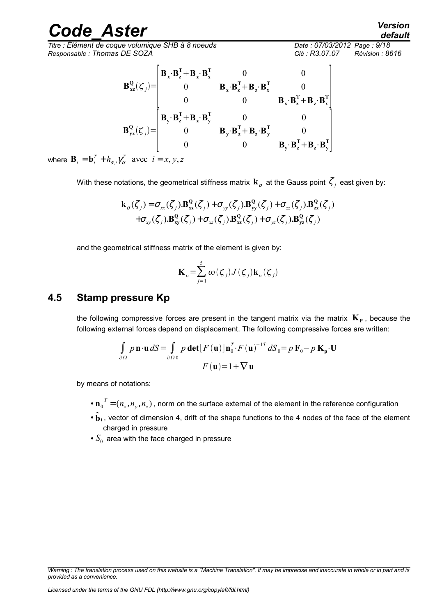*Titre : Élément de coque volumique SHB à 8 noeuds Date : 07/03/2012 Page : 9/18 Responsable : Thomas DE SOZA Clé : R3.07.07 Révision : 8616*

$$
\mathbf{B}_{xz}^{\mathbf{Q}}(\zeta_j) = \begin{bmatrix} \mathbf{B}_x \cdot \mathbf{B}_z^{\mathbf{T}} + \mathbf{B}_z \cdot \mathbf{B}_x^{\mathbf{T}} & 0 & 0 \\ 0 & \mathbf{B}_x \cdot \mathbf{B}_z^{\mathbf{T}} + \mathbf{B}_z \cdot \mathbf{B}_x^{\mathbf{T}} & 0 \\ 0 & 0 & \mathbf{B}_x \cdot \mathbf{B}_z^{\mathbf{T}} + \mathbf{B}_z \cdot \mathbf{B}_x^{\mathbf{T}} \\ \mathbf{B}_y \cdot \mathbf{B}_z^{\mathbf{T}} + \mathbf{B}_z \cdot \mathbf{B}_y^{\mathbf{T}} & 0 & 0 \\ 0 & \mathbf{B}_y \cdot \mathbf{B}_z^{\mathbf{T}} + \mathbf{B}_z \cdot \mathbf{B}_y^{\mathbf{T}} & 0 \\ 0 & 0 & \mathbf{B}_y \cdot \mathbf{B}_z^{\mathbf{T}} + \mathbf{B}_z \cdot \mathbf{B}_y^{\mathbf{T}} \end{bmatrix}
$$

where  $\mathbf{B}_i = \mathbf{b}_i^T + h_{\alpha,i} \gamma_{\alpha}^T$  avec  $i = x, y, z$ 

With these notations, the geometrical stiffness matrix  $\mathbf{k}_{\sigma}$  at the Gauss point  $\zeta_j$  east given by:

$$
\mathbf{k}_{\sigma}(\zeta_{j}) = \sigma_{xx}(\zeta_{j}).\mathbf{B}_{xx}^{\mathbf{Q}}(\zeta_{j}) + \sigma_{yy}(\zeta_{j}).\mathbf{B}_{yy}^{\mathbf{Q}}(\zeta_{j}) + \sigma_{zz}(\zeta_{j}).\mathbf{B}_{zz}^{\mathbf{Q}}(\zeta_{j})
$$

$$
+ \sigma_{xy}(\zeta_{j}).\mathbf{B}_{xy}^{\mathbf{Q}}(\zeta_{j}) + \sigma_{xz}(\zeta_{j}).\mathbf{B}_{xz}^{\mathbf{Q}}(\zeta_{j}) + \sigma_{yz}(\zeta_{j}).\mathbf{B}_{yz}^{\mathbf{Q}}(\zeta_{j})
$$

and the geometrical stiffness matrix of the element is given by:

$$
\mathbf{K}_{\sigma} = \sum_{j=1}^{5} \omega(\zeta_j) J(\zeta_j) \mathbf{k}_{\sigma}(\zeta_j)
$$

### **4.5 Stamp pressure Kp**

<span id="page-8-0"></span>the following compressive forces are present in the tangent matrix via the matrix  $\mathbf{K}_{\text{P}}$  , because the following external forces depend on displacement. The following compressive forces are written:

$$
\int_{\partial\Omega} p \mathbf{n} \cdot \mathbf{u} dS = \int_{\partial\Omega} p \det[F(\mathbf{u})] \mathbf{n}_0^T \cdot F(\mathbf{u})^{-1T} dS_0 = p \mathbf{F}_0 - p \mathbf{K}_p \cdot \mathbf{U}
$$

$$
F(\mathbf{u}) = 1 + \nabla \mathbf{u}
$$

by means of notations:

- $\cdot$  **n**<sub>0</sub><sup>*T*</sup> =  $(n_x, n_y, n_z)$ , norm on the surface external of the element in the reference configuration
- $\cdot$   $\tilde{b}_i$ , vector of dimension 4, drift of the shape functions to the 4 nodes of the face of the element charged in pressure
- $\bullet$   $S_{0}$  area with the face charged in pressure

*Warning : The translation process used on this website is a "Machine Translation". It may be imprecise and inaccurate in whole or in part and is provided as a convenience.*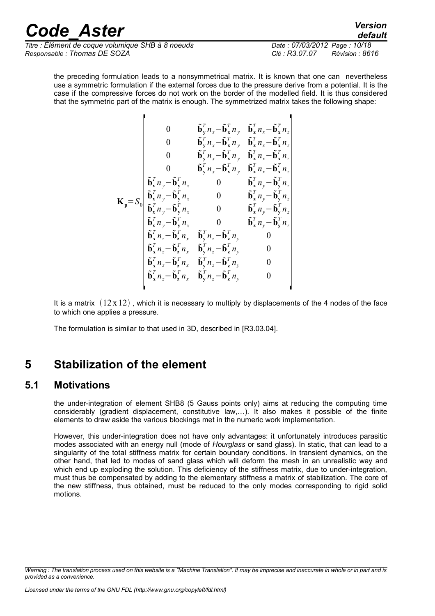*Titre : Élément de coque volumique SHB à 8 noeuds Date : 07/03/2012 Page : 10/18 Responsable : Thomas DE SOZA Clé : R3.07.07 Révision : 8616*

п

Ţ

*default*

the preceding formulation leads to a nonsymmetrical matrix. It is known that one can nevertheless use a symmetric formulation if the external forces due to the pressure derive from a potential. It is the case if the compressive forces do not work on the border of the modelled field. It is thus considered that the symmetric part of the matrix is enough. The symmetrized matrix takes the following shape:

$$
\mathbf{K}_{\mathbf{p}} = S_{0} \begin{bmatrix}\n0 & \mathbf{\tilde{b}}_{y}^{T} n_{x} - \mathbf{\tilde{b}}_{x}^{T} n_{y} & \mathbf{\tilde{b}}_{z}^{T} n_{x} - \mathbf{\tilde{b}}_{x}^{T} n_{z} \\
0 & \mathbf{\tilde{b}}_{y}^{T} n_{x} - \mathbf{\tilde{b}}_{x}^{T} n_{y} & \mathbf{\tilde{b}}_{z}^{T} n_{x} - \mathbf{\tilde{b}}_{x}^{T} n_{z} \\
0 & \mathbf{\tilde{b}}_{y}^{T} n_{x} - \mathbf{\tilde{b}}_{x}^{T} n_{y} & \mathbf{\tilde{b}}_{z}^{T} n_{x} - \mathbf{\tilde{b}}_{x}^{T} n_{z} \\
0 & \mathbf{\tilde{b}}_{y}^{T} n_{y} - \mathbf{\tilde{b}}_{y}^{T} n_{y} & \mathbf{\tilde{b}}_{z}^{T} n_{y} - \mathbf{\tilde{b}}_{y}^{T} n_{z} \\
\mathbf{\tilde{b}}_{x}^{T} n_{y} - \mathbf{\tilde{b}}_{y}^{T} n_{x} & 0 & \mathbf{\tilde{b}}_{z}^{T} n_{y} - \mathbf{\tilde{b}}_{y}^{T} n_{z} \\
\mathbf{\tilde{b}}_{x}^{T} n_{y} - \mathbf{\tilde{b}}_{y}^{T} n_{x} & 0 & \mathbf{\tilde{b}}_{z}^{T} n_{y} - \mathbf{\tilde{b}}_{y}^{T} n_{z} \\
\mathbf{\tilde{b}}_{x}^{T} n_{y} - \mathbf{\tilde{b}}_{y}^{T} n_{x} & 0 & \mathbf{\tilde{b}}_{z}^{T} n_{y} - \mathbf{\tilde{b}}_{y}^{T} n_{z} \\
\mathbf{\tilde{b}}_{x}^{T} n_{z} - \mathbf{\tilde{b}}_{z}^{T} n_{x} & \mathbf{\tilde{b}}_{y}^{T} n_{z} - \mathbf{\tilde{b}}_{z}^{T} n_{y} & 0 \\
\mathbf{\tilde{b}}_{x}^{T} n_{z} - \mathbf{\tilde{b}}_{z}^{T} n_{x} & \mathbf{\tilde{b}}_{y}^{T} n_{z} - \mathbf{\tilde{b}}_{z}^{T} n
$$

It is a matrix  $(12x12)$ , which it is necessary to multiply by displacements of the 4 nodes of the face to which one applies a pressure.

The formulation is similar to that used in 3D, described in [R3.03.04].

## <span id="page-9-1"></span>**5 Stabilization of the element**

### **5.1 Motivations**

<span id="page-9-0"></span>the under-integration of element SHB8 (5 Gauss points only) aims at reducing the computing time considerably (gradient displacement, constitutive law,…). It also makes it possible of the finite elements to draw aside the various blockings met in the numeric work implementation.

However, this under-integration does not have only advantages: it unfortunately introduces parasitic modes associated with an energy null (mode of *Hourglass* or sand glass). In static, that can lead to a singularity of the total stiffness matrix for certain boundary conditions. In transient dynamics, on the other hand, that led to modes of sand glass which will deform the mesh in an unrealistic way and which end up exploding the solution. This deficiency of the stiffness matrix, due to under-integration, must thus be compensated by adding to the elementary stiffness a matrix of stabilization. The core of the new stiffness, thus obtained, must be reduced to the only modes corresponding to rigid solid motions.

*Warning : The translation process used on this website is a "Machine Translation". It may be imprecise and inaccurate in whole or in part and is provided as a convenience.*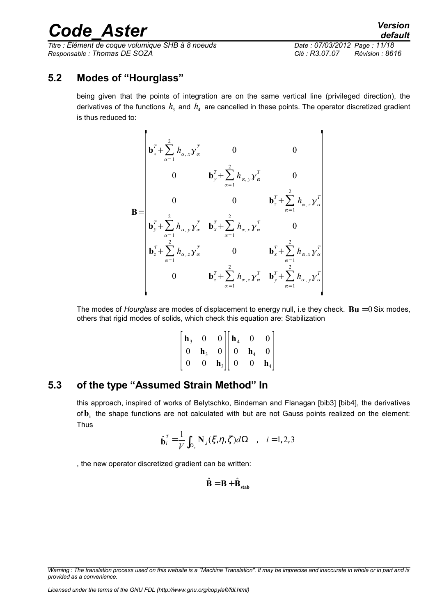*Titre : Élément de coque volumique SHB à 8 noeuds Date : 07/03/2012 Page : 11/18 Responsable : Thomas DE SOZA Clé : R3.07.07 Révision : 8616*

## **5.2 Modes of "Hourglass"**

<span id="page-10-1"></span>being given that the points of integration are on the same vertical line (privileged direction), the derivatives of the functions  $\,h_{\rm_{3}}\,$  and  $\,h_{\rm_{4}}\,$  are cancelled in these points. The operator discretized gradient is thus reduced to:

$$
\mathbf{B} = \begin{bmatrix} \mathbf{b}_{x}^{T} + \sum_{\alpha=1}^{2} h_{\alpha,x} y_{\alpha}^{T} & 0 & 0 \\ 0 & \mathbf{b}_{y}^{T} + \sum_{\alpha=1}^{2} h_{\alpha,y} y_{\alpha}^{T} & 0 \\ 0 & 0 & \mathbf{b}_{z}^{T} + \sum_{\alpha=1}^{2} h_{\alpha,z} y_{\alpha}^{T} \\ \mathbf{b}_{y}^{T} + \sum_{\alpha=1}^{2} h_{\alpha,y} y_{\alpha}^{T} & \mathbf{b}_{x}^{T} + \sum_{\alpha=1}^{2} h_{\alpha,x} y_{\alpha}^{T} & 0 \\ \mathbf{b}_{z}^{T} + \sum_{\alpha=1}^{2} h_{\alpha,z} y_{\alpha}^{T} & 0 & \mathbf{b}_{x}^{T} + \sum_{\alpha=1}^{2} h_{\alpha,x} y_{\alpha}^{T} \\ 0 & \mathbf{b}_{z}^{T} + \sum_{\alpha=1}^{2} h_{\alpha,z} y_{\alpha}^{T} & \mathbf{b}_{y}^{T} + \sum_{\alpha=1}^{2} h_{\alpha,y} y_{\alpha}^{T} \end{bmatrix}
$$

The modes of *Hourglass* are modes of displacement to energy null, i.e they check. **Bu** = 0 Six modes, others that rigid modes of solids, which check this equation are: Stabilization

|  | $\begin{bmatrix} {\bf h}_3 & 0 & 0 \\ 0 & {\bf h}_3 & 0 \\ 0 & 0 & {\bf h}_3 \end{bmatrix} \begin{bmatrix} {\bf h}_4 & 0 \\ 0 & {\bf h}_4 \\ 0 & 0 \end{bmatrix}$ |  |  |
|--|-------------------------------------------------------------------------------------------------------------------------------------------------------------------|--|--|
|  |                                                                                                                                                                   |  |  |
|  |                                                                                                                                                                   |  |  |

## **5.3 of the type "Assumed Strain Method" In**

<span id="page-10-0"></span>this approach, inspired of works of Belytschko, Bindeman and Flanagan [bib3] [bib4], the derivatives of**b<sup>i</sup>** the shape functions are not calculated with but are not Gauss points realized on the element: Thus

$$
\hat{\mathbf{b}}_i^T = \frac{1}{V} \int_{\Omega_e} \mathbf{N}_{,i}(\xi, \eta, \zeta) d\Omega \quad , \quad i = 1, 2, 3
$$

, the new operator discretized gradient can be written:

$$
\hat{\mathbf{B}} = \mathbf{B} + \hat{\mathbf{B}}_{\text{stab}}
$$

*Warning : The translation process used on this website is a "Machine Translation". It may be imprecise and inaccurate in whole or in part and is provided as a convenience.*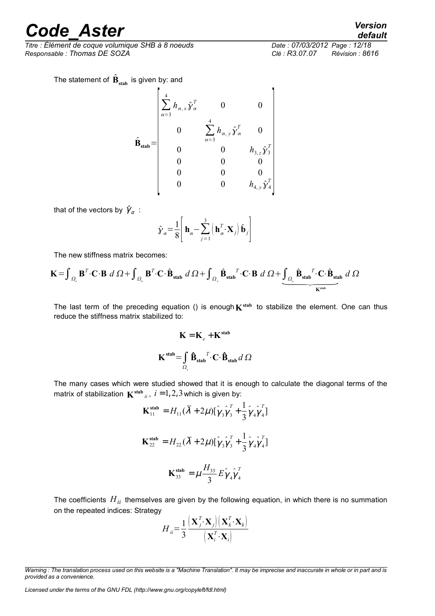*Titre : Élément de coque volumique SHB à 8 noeuds Date : 07/03/2012 Page : 12/18 Responsable : Thomas DE SOZA Clé : R3.07.07 Révision : 8616*

*default*

The statement of  $\hat{\mathbf{B}}_{\text{stab}}$  is given by: and

$$
\hat{\mathbf{B}}_{\text{stab}} = \begin{bmatrix}\n\frac{4}{\alpha - 3} h_{\alpha, x} \hat{\mathbf{y}}_{\alpha}^T & 0 & 0 \\
0 & \sum_{\alpha = 3}^4 h_{\alpha, y} \hat{\mathbf{y}}_{\alpha}^T & 0 \\
0 & 0 & h_{3, z} \hat{\mathbf{y}}_3^T \\
0 & 0 & 0 \\
0 & 0 & 0 \\
0 & 0 & h_{4, y} \hat{\mathbf{y}}_4^T\n\end{bmatrix}
$$

that of the vectors by  $\hat{\gamma}_{\alpha}$  :

$$
\hat{\mathbf{y}}_{\alpha} = \frac{1}{8} \left[ \mathbf{h}_{\alpha} - \sum_{j=1}^{3} \left( \mathbf{h}_{\alpha}^{T} \cdot \mathbf{X}_{j} \right) \hat{\mathbf{b}}_{j} \right]
$$

The new stiffness matrix becomes:

The new stiffness matrix becomes:  
\n
$$
\mathbf{K} = \int_{\Omega_{\epsilon}} \mathbf{B}^{T} \cdot \mathbf{C} \cdot \mathbf{B} \, d \, \Omega + \int_{\Omega_{\epsilon}} \mathbf{B}^{T} \cdot \mathbf{C} \cdot \hat{\mathbf{B}}_{stab} \, d \, \Omega + \int_{\Omega_{\epsilon}} \hat{\mathbf{B}}_{stab}^{T} \cdot \mathbf{C} \cdot \mathbf{B} \, d \, \Omega + \underbrace{\int_{\Omega_{\epsilon}} \hat{\mathbf{B}}_{stab}^{T} \cdot \mathbf{C} \cdot \hat{\mathbf{B}}_{stab} \, d \, \Omega}_{K^{stab}}
$$

The last term of the preceding equation () is enough  $K^{\text{stab}}$  to stabilize the element. One can thus reduce the stiffness matrix stabilized to:

$$
\mathbf{K} = \mathbf{K}_e + \mathbf{K}^{\text{stab}}
$$

$$
\mathbf{K}^{\text{stab}} = \int_{\Omega_e} \mathbf{\hat{B}}_{\text{stab}}^T \cdot \mathbf{C} \cdot \mathbf{\hat{B}}_{\text{stab}} d \Omega
$$

The many cases which were studied showed that it is enough to calculate the diagonal terms of the matrix of stabilization  $\mathbf{K}^{\text{stab}}_{ii}$ ,  $i = 1, 2, 3$  which is given by:

$$
\mathbf{K}_{11}^{\text{stab}} = H_{11}(\overline{\lambda} + 2\mu)[\hat{\gamma}_3 \hat{\gamma}_3^T + \frac{1}{3} \hat{\gamma}_4 \hat{\gamma}_4^T]
$$
  

$$
\mathbf{K}_{22}^{\text{stab}} = H_{22}(\overline{\lambda} + 2\mu)[\hat{\gamma}_3 \hat{\gamma}_3^T + \frac{1}{3} \hat{\gamma}_4 \hat{\gamma}_4^T]
$$
  

$$
\mathbf{K}_{33}^{\text{stab}} = \mu \frac{H_{33}}{3} E \hat{\gamma}_4 \hat{\gamma}_4^T
$$

The coefficients  $H_{ii}$  themselves are given by the following equation, in which there is no summation on the repeated indices: Strategy

$$
H_{ii} = \frac{1}{3} \frac{\left(\mathbf{X}_j^T \cdot \mathbf{X}_j\right) \left(\mathbf{X}_k^T \cdot \mathbf{X}_k\right)}{\left(\mathbf{X}_i^T \cdot \mathbf{X}_i\right)}
$$

*Warning : The translation process used on this website is a "Machine Translation". It may be imprecise and inaccurate in whole or in part and is provided as a convenience.*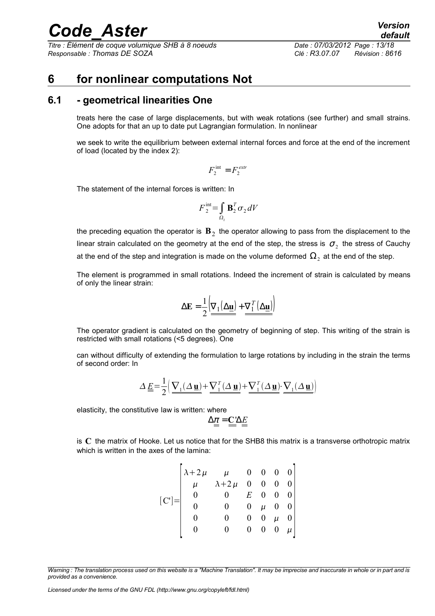*Titre : Élément de coque volumique SHB à 8 noeuds Date : 07/03/2012 Page : 13/18 Responsable : Thomas DE SOZA Clé : R3.07.07 Révision : 8616*

*default*

### <span id="page-12-1"></span>**6 for nonlinear computations Not**

### **6.1 - geometrical linearities One**

<span id="page-12-0"></span>treats here the case of large displacements, but with weak rotations (see further) and small strains. One adopts for that an up to date put Lagrangian formulation. In nonlinear

we seek to write the equilibrium between external internal forces and force at the end of the increment of load (located by the index 2):

$$
F_2^{\text{int}} = F_2^{\text{extr}}
$$

The statement of the internal forces is written: In

$$
F_2^{\text{int}} = \int_{\Omega_2} \mathbf{B}_2^T \sigma_2 dV
$$

the preceding equation the operator is  $\, {\bf B}_{2} \,$  the operator allowing to pass from the displacement to the linear strain calculated on the geometry at the end of the step, the stress is  $\,\sigma_{_2}\,$  the stress of Cauchy at the end of the step and integration is made on the volume deformed  $\Omega_{2}^{\vphantom{2}}$  at the end of the step.

The element is programmed in small rotations. Indeed the increment of strain is calculated by means of only the linear strain:

$$
\Delta \mathbf{E} = \frac{1}{2} \left( \underline{\nabla_1(\Delta \underline{\mathbf{u}})} + \underline{\nabla_1^T(\Delta \underline{\mathbf{u}})} \right)
$$

The operator gradient is calculated on the geometry of beginning of step. This writing of the strain is restricted with small rotations (<5 degrees). One

can without difficulty of extending the formulation to large rotations by including in the strain the terms of second order: In

$$
\Delta \underline{\underline{E}} = \frac{1}{2} \Big( \underline{\nabla_1(\Delta \underline{\mathbf{u}})} + \underline{\nabla_1^T(\Delta \underline{\mathbf{u}})} + \underline{\nabla_1^T(\Delta \underline{\mathbf{u}})} \cdot \underline{\nabla_1(\Delta \underline{\mathbf{u}})} \Big)
$$

elasticity, the constitutive law is written: where

$$
\Delta \underline{\underline{\pi}} = \underline{\underline{C}} \Delta \underline{\underline{E}}
$$

is **C** the matrix of Hooke. Let us notice that for the SHB8 this matrix is a transverse orthotropic matrix which is written in the axes of the lamina:

$$
\begin{bmatrix}\n\lambda+2\mu & \mu & 0 & 0 & 0 & 0 \\
\mu & \lambda+2\mu & 0 & 0 & 0 & 0 \\
0 & 0 & E & 0 & 0 & 0 \\
0 & 0 & 0 & \mu & 0 & 0 \\
0 & 0 & 0 & 0 & \mu & 0 \\
0 & 0 & 0 & 0 & 0 & \mu\n\end{bmatrix}
$$

*Warning : The translation process used on this website is a "Machine Translation". It may be imprecise and inaccurate in whole or in part and is provided as a convenience.*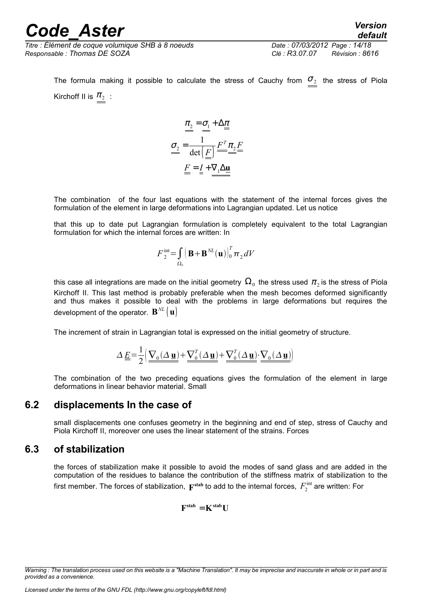*Titre : Élément de coque volumique SHB à 8 noeuds Date : 07/03/2012 Page : 14/18 Responsable : Thomas DE SOZA Clé : R3.07.07 Révision : 8616*

The formula making it possible to calculate the stress of Cauchy from  $\sigma_2$  the stress of Piola Kirchoff II is  $\pi_2$ :

$$
\begin{cases}\n\underline{\pi_2} = \underline{\sigma_1} + \Delta \underline{\pi} \\
\underline{\sigma_2} = \frac{1}{\det(\underline{F})} \underline{F^T \pi_2} \underline{F} \\
\underline{F} = \underline{I} + \nabla_1 \Delta \underline{\mathbf{u}}\n\end{cases}
$$

The combination of the four last equations with the statement of the internal forces gives the formulation of the element in large deformations into Lagrangian updated. Let us notice

that this up to date put Lagrangian formulation is completely equivalent to the total Lagrangian formulation for which the internal forces are written: In

$$
F_2^{\text{int}} = \int_{\Omega_0} \left( \mathbf{B} + \mathbf{B}^{NL}(\mathbf{u}) \right)_0^T \pi_2 dV
$$

this case all integrations are made on the initial geometry  $\Omega_{_0}$  the stress used  $\pi_{_2}$ is the stress of Piola Kirchoff II. This last method is probably preferable when the mesh becomes deformed significantly and thus makes it possible to deal with the problems in large deformations but requires the development of the operator.  $\mathbf{B}^{NL}$   $\left(\mathbf{u}\right)$ 

The increment of strain in Lagrangian total is expressed on the initial geometry of structure.

$$
\Delta \underline{\underline{E}} = \frac{1}{2} \Big( \underline{\nabla_0 (\Delta \underline{\mathbf{u}})} + \underline{\nabla_0^T (\Delta \underline{\mathbf{u}})} + \underline{\nabla_0^T (\Delta \underline{\mathbf{u}})} \cdot \underline{\nabla_0 (\Delta \underline{\mathbf{u}})} \Big)
$$

The combination of the two preceding equations gives the formulation of the element in large deformations in linear behavior material. Small

### **6.2 displacements In the case of**

<span id="page-13-1"></span>small displacements one confuses geometry in the beginning and end of step, stress of Cauchy and Piola Kirchoff II, moreover one uses the linear statement of the strains. Forces

### **6.3 of stabilization**

<span id="page-13-0"></span>the forces of stabilization make it possible to avoid the modes of sand glass and are added in the computation of the residues to balance the contribution of the stiffness matrix of stabilization to the first member. The forces of stabilization,  $\mathbf{F^{stab}}$  to add to the internal forces,  $\,F_2^{\rm int}$  are written: For

$$
\mathbf{F}^{\text{stab}} = \mathbf{K}^{\text{stab}} \mathbf{U}
$$

*Warning : The translation process used on this website is a "Machine Translation". It may be imprecise and inaccurate in whole or in part and is provided as a convenience.*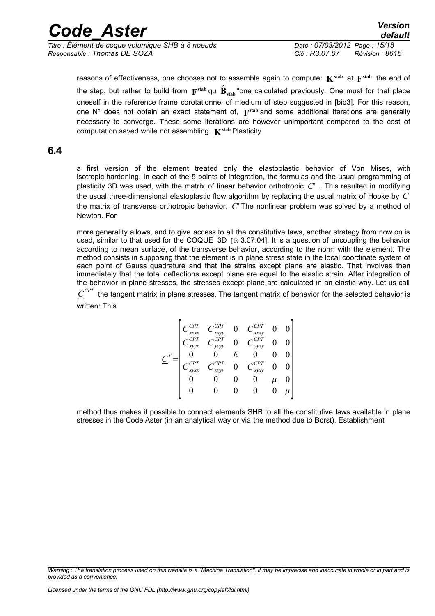*Code\_Aster Version Titre : Élément de coque volumique SHB à 8 noeuds Date : 07/03/2012 Page : 15/18*

*Responsable : Thomas DE SOZA Clé : R3.07.07 Révision : 8616*

reasons of effectiveness, one chooses not to assemble again to compute:  $\mathbf{K}^{\text{stab}}$  at  $\mathbf{F}^{\text{stab}}$  the end of the step, but rather to build from  $\mathbf{F}^{\text{stab}}$  qu  $\hat{\mathbf{B}}_{\text{stab}}$  "one calculated previously. One must for that place oneself in the reference frame corotationnel of medium of step suggested in [bib3]. For this reason, one N" does not obtain an exact statement of,  $F^{\text{stab}}$  and some additional iterations are generally necessary to converge. These some iterations are however unimportant compared to the cost of computation saved while not assembling.  $\mathbf{K}^{\text{stab}}$  Plasticity

### **6.4**

<span id="page-14-0"></span>a first version of the element treated only the elastoplastic behavior of Von Mises, with isotropic hardening. In each of the 5 points of integration, the formulas and the usual programming of plasticity 3D was used, with the matrix of linear behavior orthotropic *C*' . This resulted in modifying the usual three-dimensional elastoplastic flow algorithm by replacing the usual matrix of Hooke by *C* the matrix of transverse orthotropic behavior. *C*' The nonlinear problem was solved by a method of Newton. For

more generality allows, and to give access to all the constitutive laws, another strategy from now on is used, similar to that used for the COQUE 3D  $\overline{R}$  3.07.041. It is a question of uncoupling the behavior according to mean surface, of the transverse behavior, according to the norm with the element. The method consists in supposing that the element is in plane stress state in the local coordinate system of each point of Gauss quadrature and that the strains except plane are elastic. That involves then immediately that the total deflections except plane are equal to the elastic strain. After integration of the behavior in plane stresses, the stresses except plane are calculated in an elastic way. Let us call

 $C^{CPT}$  the tangent matrix in plane stresses. The tangent matrix of behavior for the selected behavior is written: This

$$
\underline{\underline{C}}^T = \begin{bmatrix} C_{xxxx}^{CPT} & C_{xxyy}^{CPT} & 0 & C_{xxxy}^{CPT} & 0 & 0 \\ C_{xyyx}^{CPT} & C_{yyyy}^{CPT} & 0 & C_{yyxy}^{CPT} & 0 & 0 \\ 0 & 0 & E & 0 & 0 & 0 \\ C_{xyxx}^{CPT} & C_{xyyy}^{CPT} & 0 & C_{xyxy}^{CPT} & 0 & 0 \\ 0 & 0 & 0 & 0 & \mu & 0 \\ 0 & 0 & 0 & 0 & 0 & \mu \end{bmatrix}
$$

method thus makes it possible to connect elements SHB to all the constitutive laws available in plane stresses in the Code Aster (in an analytical way or via the method due to Borst). Establishment

*Warning : The translation process used on this website is a "Machine Translation". It may be imprecise and inaccurate in whole or in part and is provided as a convenience.*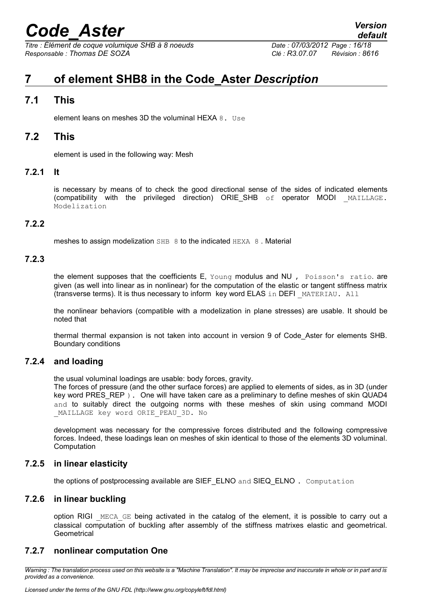*Titre : Élément de coque volumique SHB à 8 noeuds Date : 07/03/2012 Page : 16/18 Responsable : Thomas DE SOZA Clé : R3.07.07 Révision : 8616*

*default*

# <span id="page-15-9"></span>**7 of element SHB8 in the Code\_Aster** *Description*

### **7.1 This**

<span id="page-15-8"></span><span id="page-15-7"></span>element leans on meshes 3D the voluminal HEXA 8. Use

### **7.2 This**

<span id="page-15-6"></span>element is used in the following way: Mesh

### **7.2.1 It**

is necessary by means of to check the good directional sense of the sides of indicated elements (compatibility with the privileged direction) ORIE\_SHB of operator MODI MAILLAGE. Modelization

### **7.2.2**

<span id="page-15-5"></span><span id="page-15-4"></span>meshes to assign modelization SHB 8 to the indicated HEXA 8 . Material

#### **7.2.3**

the element supposes that the coefficients E, Young modulus and NU , Poisson's ratio. are given (as well into linear as in nonlinear) for the computation of the elastic or tangent stiffness matrix (transverse terms). It is thus necessary to inform key word ELAS in DEFI \_MATERIAU. All

the nonlinear behaviors (compatible with a modelization in plane stresses) are usable. It should be noted that

thermal thermal expansion is not taken into account in version 9 of Code\_Aster for elements SHB. Boundary conditions

### **7.2.4 and loading**

<span id="page-15-3"></span>the usual voluminal loadings are usable: body forces, gravity.

The forces of pressure (and the other surface forces) are applied to elements of sides, as in 3D (under key word PRES REP ). One will have taken care as a preliminary to define meshes of skin QUAD4 and to suitably direct the outgoing norms with these meshes of skin using command MODI MAILLAGE key word ORIE PEAU 3D. No

development was necessary for the compressive forces distributed and the following compressive forces. Indeed, these loadings lean on meshes of skin identical to those of the elements 3D voluminal. Computation

### **7.2.5 in linear elasticity**

<span id="page-15-2"></span><span id="page-15-1"></span>the options of postprocessing available are SIEF\_ELNO and SIEQ\_ELNO . Computation

### **7.2.6 in linear buckling**

option RIGI MECA GE being activated in the catalog of the element, it is possible to carry out a classical computation of buckling after assembly of the stiffness matrixes elastic and geometrical. **Geometrical** 

### <span id="page-15-0"></span>**7.2.7 nonlinear computation One**

*Warning : The translation process used on this website is a "Machine Translation". It may be imprecise and inaccurate in whole or in part and is provided as a convenience.*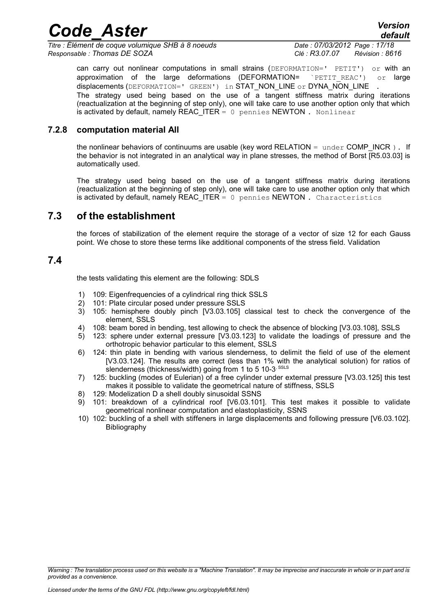*Titre : Élément de coque volumique SHB à 8 noeuds Date : 07/03/2012 Page : 17/18 Responsable : Thomas DE SOZA Clé : R3.07.07 Révision : 8616*

*default*

can carry out nonlinear computations in small strains (DEFORMATION=' PETIT') or with an approximation of the large deformations (DEFORMATION= `PETIT\_REAC') or large displacements (DEFORMATION=' GREEN') in STAT\_NON\_LINE or DYNA\_NON\_LINE The strategy used being based on the use of a tangent stiffness matrix during iterations (reactualization at the beginning of step only), one will take care to use another option only that which is activated by default, namely REAC\_ITER  $= 0$  pennies NEWTON . Nonlinear

#### **7.2.8 computation material All**

<span id="page-16-2"></span>the nonlinear behaviors of continuums are usable (key word RELATION = under COMP\_INCR ). If the behavior is not integrated in an analytical way in plane stresses, the method of Borst [R5.03.03] is automatically used.

The strategy used being based on the use of a tangent stiffness matrix during iterations (reactualization at the beginning of step only), one will take care to use another option only that which is activated by default, namely REAC\_ITER =  $0$  pennies NEWTON. Characteristics

### **7.3 of the establishment**

<span id="page-16-1"></span>the forces of stabilization of the element require the storage of a vector of size 12 for each Gauss point. We chose to store these terms like additional components of the stress field. Validation

### **7.4**

<span id="page-16-0"></span>the tests validating this element are the following: SDLS

- 1) 109: Eigenfrequencies of a cylindrical ring thick SSLS
- 2) 101: Plate circular posed under pressure SSLS
- 3) 105: hemisphere doubly pinch [V3.03.105] classical test to check the convergence of the element, SSLS
- 4) 108: beam bored in bending, test allowing to check the absence of blocking [V3.03.108], SSLS
- 5) 123: sphere under external pressure [V3.03.123] to validate the loadings of pressure and the orthotropic behavior particular to this element, SSLS
- 6) 124: thin plate in bending with various slenderness, to delimit the field of use of the element [V3.03.124]. The results are correct (less than 1% with the analytical solution) for ratios of slenderness (thickness/width) going from 1 to 5 10-3<sup>, SSLS</sup>
- 7) 125: buckling (modes of Eulerian) of a free cylinder under external pressure [V3.03.125] this test makes it possible to validate the geometrical nature of stiffness, SSLS
- 8) 129: Modelization D a shell doubly sinusoidal SSNS
- 9) 101: breakdown of a cylindrical roof [V6.03.101]. This test makes it possible to validate geometrical nonlinear computation and elastoplasticity, SSNS
- 10) 102: buckling of a shell with stiffeners in large displacements and following pressure [V6.03.102]. Bibliography

*Warning : The translation process used on this website is a "Machine Translation". It may be imprecise and inaccurate in whole or in part and is provided as a convenience.*